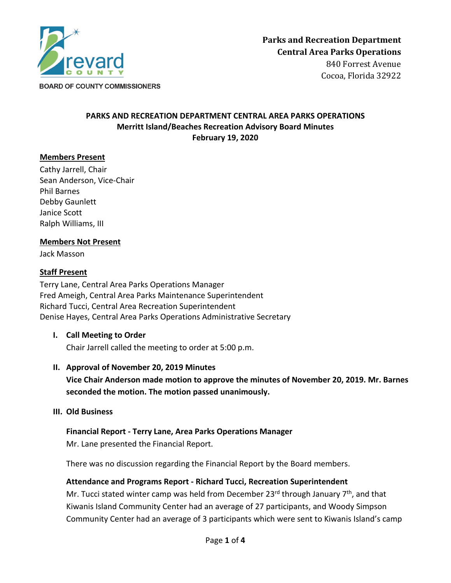

Cocoa, Florida 32922

# **PARKS AND RECREATION DEPARTMENT CENTRAL AREA PARKS OPERATIONS Merritt Island/Beaches Recreation Advisory Board Minutes February 19, 2020**

# **Members Present**

Cathy Jarrell, Chair Sean Anderson, Vice-Chair Phil Barnes Debby Gaunlett Janice Scott Ralph Williams, III

## **Members Not Present**

Jack Masson

## **Staff Present**

Terry Lane, Central Area Parks Operations Manager Fred Ameigh, Central Area Parks Maintenance Superintendent Richard Tucci, Central Area Recreation Superintendent Denise Hayes, Central Area Parks Operations Administrative Secretary

**I. Call Meeting to Order**

Chair Jarrell called the meeting to order at 5:00 p.m.

**II. Approval of November 20, 2019 Minutes**

**Vice Chair Anderson made motion to approve the minutes of November 20, 2019. Mr. Barnes seconded the motion. The motion passed unanimously.**

## **III. Old Business**

**Financial Report - Terry Lane, Area Parks Operations Manager** Mr. Lane presented the Financial Report.

There was no discussion regarding the Financial Report by the Board members.

**Attendance and Programs Report - Richard Tucci, Recreation Superintendent**

Mr. Tucci stated winter camp was held from December 23 $^{rd}$  through January 7<sup>th</sup>, and that Kiwanis Island Community Center had an average of 27 participants, and Woody Simpson Community Center had an average of 3 participants which were sent to Kiwanis Island's camp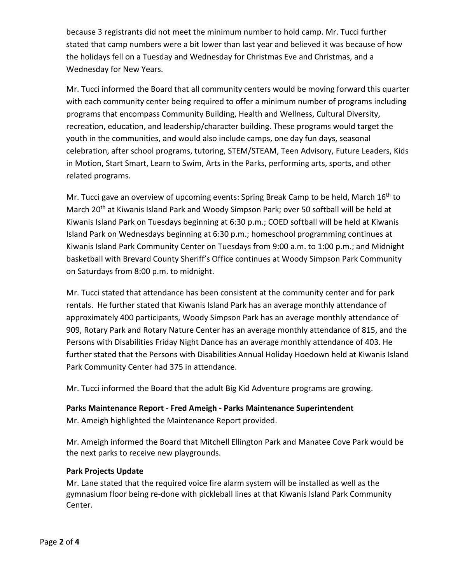because 3 registrants did not meet the minimum number to hold camp. Mr. Tucci further stated that camp numbers were a bit lower than last year and believed it was because of how the holidays fell on a Tuesday and Wednesday for Christmas Eve and Christmas, and a Wednesday for New Years.

Mr. Tucci informed the Board that all community centers would be moving forward this quarter with each community center being required to offer a minimum number of programs including programs that encompass Community Building, Health and Wellness, Cultural Diversity, recreation, education, and leadership/character building. These programs would target the youth in the communities, and would also include camps, one day fun days, seasonal celebration, after school programs, tutoring, STEM/STEAM, Teen Advisory, Future Leaders, Kids in Motion, Start Smart, Learn to Swim, Arts in the Parks, performing arts, sports, and other related programs.

Mr. Tucci gave an overview of upcoming events: Spring Break Camp to be held, March 16<sup>th</sup> to March 20<sup>th</sup> at Kiwanis Island Park and Woody Simpson Park; over 50 softball will be held at Kiwanis Island Park on Tuesdays beginning at 6:30 p.m.; COED softball will be held at Kiwanis Island Park on Wednesdays beginning at 6:30 p.m.; homeschool programming continues at Kiwanis Island Park Community Center on Tuesdays from 9:00 a.m. to 1:00 p.m.; and Midnight basketball with Brevard County Sheriff's Office continues at Woody Simpson Park Community on Saturdays from 8:00 p.m. to midnight.

Mr. Tucci stated that attendance has been consistent at the community center and for park rentals. He further stated that Kiwanis Island Park has an average monthly attendance of approximately 400 participants, Woody Simpson Park has an average monthly attendance of 909, Rotary Park and Rotary Nature Center has an average monthly attendance of 815, and the Persons with Disabilities Friday Night Dance has an average monthly attendance of 403. He further stated that the Persons with Disabilities Annual Holiday Hoedown held at Kiwanis Island Park Community Center had 375 in attendance.

Mr. Tucci informed the Board that the adult Big Kid Adventure programs are growing.

# **Parks Maintenance Report - Fred Ameigh - Parks Maintenance Superintendent**

Mr. Ameigh highlighted the Maintenance Report provided.

Mr. Ameigh informed the Board that Mitchell Ellington Park and Manatee Cove Park would be the next parks to receive new playgrounds.

# **Park Projects Update**

Mr. Lane stated that the required voice fire alarm system will be installed as well as the gymnasium floor being re-done with pickleball lines at that Kiwanis Island Park Community Center.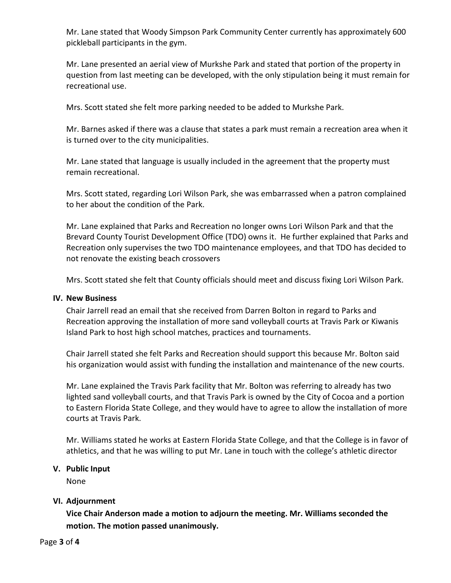Mr. Lane stated that Woody Simpson Park Community Center currently has approximately 600 pickleball participants in the gym.

Mr. Lane presented an aerial view of Murkshe Park and stated that portion of the property in question from last meeting can be developed, with the only stipulation being it must remain for recreational use.

Mrs. Scott stated she felt more parking needed to be added to Murkshe Park.

Mr. Barnes asked if there was a clause that states a park must remain a recreation area when it is turned over to the city municipalities.

Mr. Lane stated that language is usually included in the agreement that the property must remain recreational.

Mrs. Scott stated, regarding Lori Wilson Park, she was embarrassed when a patron complained to her about the condition of the Park.

Mr. Lane explained that Parks and Recreation no longer owns Lori Wilson Park and that the Brevard County Tourist Development Office (TDO) owns it. He further explained that Parks and Recreation only supervises the two TDO maintenance employees, and that TDO has decided to not renovate the existing beach crossovers

Mrs. Scott stated she felt that County officials should meet and discuss fixing Lori Wilson Park.

## **IV. New Business**

Chair Jarrell read an email that she received from Darren Bolton in regard to Parks and Recreation approving the installation of more sand volleyball courts at Travis Park or Kiwanis Island Park to host high school matches, practices and tournaments.

Chair Jarrell stated she felt Parks and Recreation should support this because Mr. Bolton said his organization would assist with funding the installation and maintenance of the new courts.

Mr. Lane explained the Travis Park facility that Mr. Bolton was referring to already has two lighted sand volleyball courts, and that Travis Park is owned by the City of Cocoa and a portion to Eastern Florida State College, and they would have to agree to allow the installation of more courts at Travis Park.

Mr. Williams stated he works at Eastern Florida State College, and that the College is in favor of athletics, and that he was willing to put Mr. Lane in touch with the college's athletic director

## **V. Public Input**

None

## **VI. Adjournment**

**Vice Chair Anderson made a motion to adjourn the meeting. Mr. Williams seconded the motion. The motion passed unanimously.**